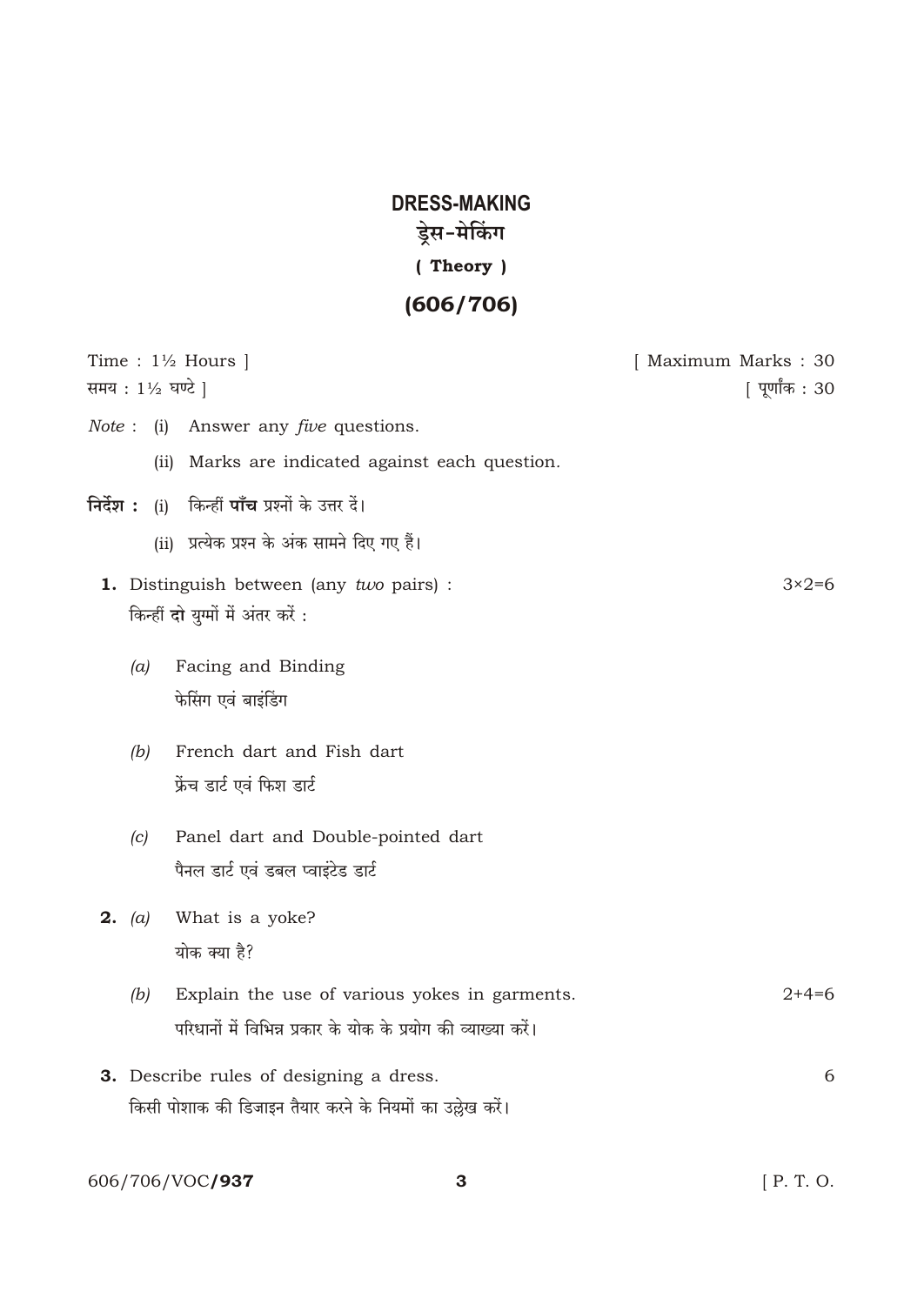## **DRESS-MAKING** ड्रेस-मेकिंग (Theory)  $(606/706)$

| Time : $1\frac{1}{2}$ Hours  <br>समय : 1½ घण्टे                                                                                                          | [ Maximum Marks: 30<br>  पूर्णांक : 30 |
|----------------------------------------------------------------------------------------------------------------------------------------------------------|----------------------------------------|
| Answer any <i>five</i> questions.<br>Note: (i)<br>Marks are indicated against each question.<br>(ii)                                                     |                                        |
| (i) किन्हीं <b>पाँच</b> प्रश्नों के उत्तर दें।<br>निर्देश :<br>(ii) प्रत्येक प्रश्न के अंक सामने दिए गए हैं।<br>1. Distinguish between (any two pairs) : | $3\times2=6$                           |
| किन्हीं दो युग्मों में अंतर करें :<br>Facing and Binding<br>(a)<br>फेसिंग एवं बाइंडिंग<br>French dart and Fish dart<br>(b)                               |                                        |
| फ्रेंच डार्ट एवं फिश डार्ट<br>Panel dart and Double-pointed dart<br>(c)<br>पैनल डार्ट एवं डबल प्वाइंटेड डार्ट<br>What is a yoke?<br><b>2.</b> (a)        |                                        |
| योक क्या है?<br>Explain the use of various yokes in garments.<br>(b)<br>परिधानों में विभिन्न प्रकार के योक के प्रयोग की व्याख्या करें।                   | $2+4=6$                                |
| 3. Describe rules of designing a dress.<br>किसी पोशाक की डिजाइन तैयार करने के नियमों का उल्लेख करें।                                                     | 6                                      |